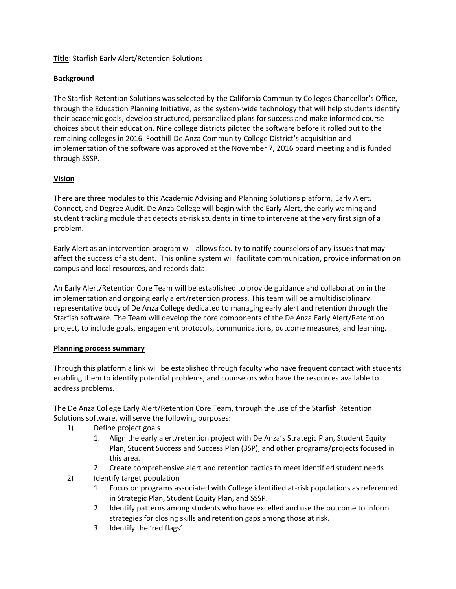## **Title**: Starfish Early Alert/Retention Solutions

# **Background**

The Starfish Retention Solutions was selected by the California Community Colleges Chancellor's Office, through the Education Planning Initiative, as the system-wide technology that will help students identify their academic goals, develop structured, personalized plans for success and make informed course choices about their education. Nine college districts piloted the software before it rolled out to the remaining colleges in 2016. Foothill-De Anza Community College District's acquisition and implementation of the software was approved at the November 7, 2016 board meeting and is funded through SSSP.

## **Vision**

There are three modules to this Academic Advising and Planning Solutions platform, Early Alert, Connect, and Degree Audit. De Anza College will begin with the Early Alert, the early warning and student tracking module that detects at-risk students in time to intervene at the very first sign of a problem.

Early Alert as an intervention program will allows faculty to notify counselors of any issues that may affect the success of a student. This online system will facilitate communication, provide information on campus and local resources, and records data.

An Early Alert/Retention Core Team will be established to provide guidance and collaboration in the implementation and ongoing early alert/retention process. This team will be a multidisciplinary representative body of De Anza College dedicated to managing early alert and retention through the Starfish software. The Team will develop the core components of the De Anza Early Alert/Retention project, to include goals, engagement protocols, communications, outcome measures, and learning.

#### **Planning process summary**

Through this platform a link will be established through faculty who have frequent contact with students enabling them to identify potential problems, and counselors who have the resources available to address problems.

The De Anza College Early Alert/Retention Core Team, through the use of the Starfish Retention Solutions software, will serve the following purposes:

- 1) Define project goals
	- 1. Align the early alert/retention project with De Anza's Strategic Plan, Student Equity Plan, Student Success and Success Plan (3SP), and other programs/projects focused in this area.
	- 2. Create comprehensive alert and retention tactics to meet identified student needs
- 2) Identify target population
	- 1. Focus on programs associated with College identified at-risk populations as referenced in Strategic Plan, Student Equity Plan, and SSSP.
	- 2. Identify patterns among students who have excelled and use the outcome to inform strategies for closing skills and retention gaps among those at risk.
	- 3. Identify the 'red flags'